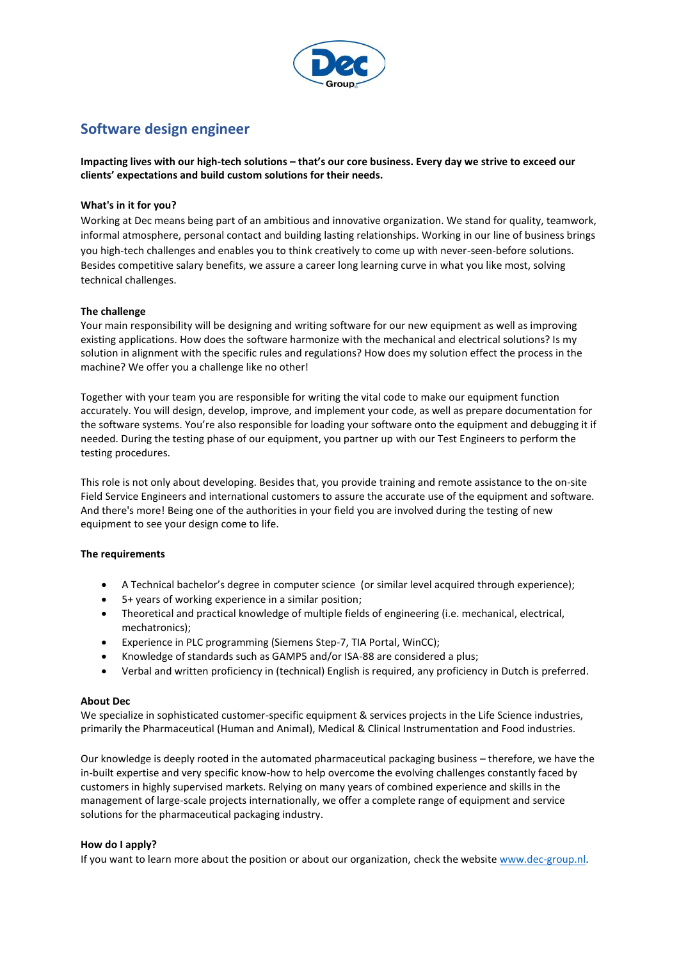

# **Software design engineer**

**Impacting lives with our high-tech solutions – that's our core business. Every day we strive to exceed our clients' expectations and build custom solutions for their needs.** 

## **What's in it for you?**

Working at Dec means being part of an ambitious and innovative organization. We stand for quality, teamwork, informal atmosphere, personal contact and building lasting relationships. Working in our line of business brings you high-tech challenges and enables you to think creatively to come up with never-seen-before solutions. Besides competitive salary benefits, we assure a career long learning curve in what you like most, solving technical challenges.

### **The challenge**

Your main responsibility will be designing and writing software for our new equipment as well as improving existing applications. How does the software harmonize with the mechanical and electrical solutions? Is my solution in alignment with the specific rules and regulations? How does my solution effect the process in the machine? We offer you a challenge like no other!

Together with your team you are responsible for writing the vital code to make our equipment function accurately. You will design, develop, improve, and implement your code, as well as prepare documentation for the software systems. You're also responsible for loading your software onto the equipment and debugging it if needed. During the testing phase of our equipment, you partner up with our Test Engineers to perform the testing procedures.

This role is not only about developing. Besides that, you provide training and remote assistance to the on-site Field Service Engineers and international customers to assure the accurate use of the equipment and software. And there's more! Being one of the authorities in your field you are involved during the testing of new equipment to see your design come to life.

### **The requirements**

- A Technical bachelor's degree in computer science (or similar level acquired through experience);
- 5+ years of working experience in a similar position;
- Theoretical and practical knowledge of multiple fields of engineering (i.e. mechanical, electrical, mechatronics);
- Experience in PLC programming (Siemens Step-7, TIA Portal, WinCC);
- Knowledge of standards such as GAMP5 and/or ISA-88 are considered a plus;
- Verbal and written proficiency in (technical) English is required, any proficiency in Dutch is preferred.

### **About Dec**

We specialize in sophisticated customer-specific equipment & services projects in the Life Science industries, primarily the Pharmaceutical (Human and Animal), Medical & Clinical Instrumentation and Food industries.

Our knowledge is deeply rooted in the automated pharmaceutical packaging business – therefore, we have the in-built expertise and very specific know-how to help overcome the evolving challenges constantly faced by customers in highly supervised markets. Relying on many years of combined experience and skills in the management of large-scale projects internationally, we offer a complete range of equipment and service solutions for the pharmaceutical packaging industry.

### **How do I apply?**

If you want to learn more about the position or about our organization, check the websit[e www.dec-group.nl.](http://www.dec-group.nl/)